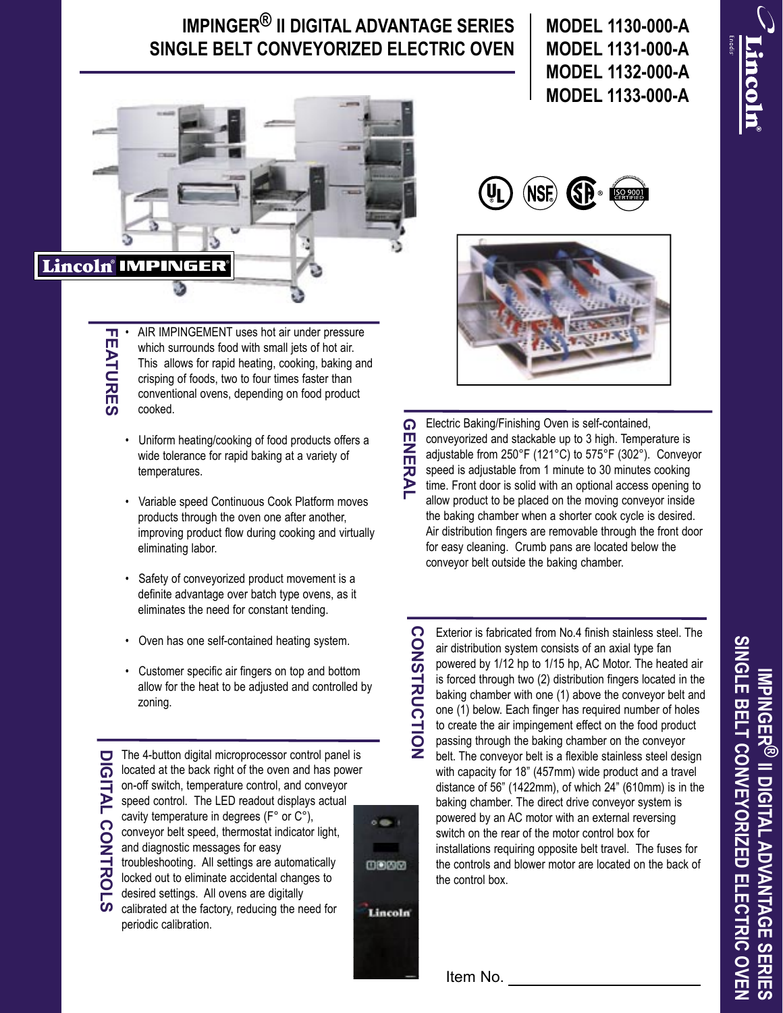## **IMPINGER® II DIGITAL ADVANTAGE SERIES SINGLE BELT CONVEYORIZED ELECTRIC OVEN**



• AIR IMPINGEMENT uses hot air under pressure **FEATURES FEATURES** which surrounds food with small jets of hot air. This allows for rapid heating, cooking, baking and crisping of foods, two to four times faster than conventional ovens, depending on food product cooked.

- Uniform heating/cooking of food products offers a wide tolerance for rapid baking at a variety of temperatures.
- Variable speed Continuous Cook Platform moves products through the oven one after another, improving product flow during cooking and virtually eliminating labor.
- Safety of conveyorized product movement is a definite advantage over batch type ovens, as it eliminates the need for constant tending.
- Oven has one self-contained heating system.
- Customer specific air fingers on top and bottom allow for the heat to be adjusted and controlled by zoning.

The 4-button digital microprocessor control panel is located at the back right of the oven and has power on-off switch, temperature control, and conveyor speed control. The LED readout displays actual cavity temperature in degrees (F° or C°), conveyor belt speed, thermostat indicator light, and diagnostic messages for easy troubleshooting. All settings are automatically locked out to eliminate accidental changes to desired settings. All ovens are digitally calibrated at the factory, reducing the need for

periodic calibration.

 $6.89$ 0000 Lincoln

**CONSTRUCTION**

**CONSTRUCTION** 

**MODEL 1130-000-A MODEL 1131-000-A MODEL 1132-000-A MODEL 1133-000-A**

**Lincoln** 





 $\Omega$ Electric Baking/Finishing Oven is self-contained, **GENERAL** conveyorized and stackable up to 3 high. Temperature is NERAL adjustable from 250°F (121°C) to 575°F (302°). Conveyor speed is adjustable from 1 minute to 30 minutes cooking time. Front door is solid with an optional access opening to allow product to be placed on the moving conveyor inside the baking chamber when a shorter cook cycle is desired. Air distribution fingers are removable through the front door for easy cleaning. Crumb pans are located below the conveyor belt outside the baking chamber.

Exterior is fabricated from No.4 finish stainless steel. The air distribution system consists of an axial type fan powered by 1/12 hp to 1/15 hp, AC Motor. The heated air is forced through two (2) distribution fingers located in the baking chamber with one (1) above the conveyor belt and one (1) below. Each finger has required number of holes to create the air impingement effect on the food product passing through the baking chamber on the conveyor belt. The conveyor belt is a flexible stainless steel design with capacity for 18" (457mm) wide product and a travel distance of 56" (1422mm), of which 24" (610mm) is in the baking chamber. The direct drive conveyor system is powered by an AC motor with an external reversing switch on the rear of the motor control box for installations requiring opposite belt travel. The fuses for the controls and blower motor are located on the back of the control box.

Item No.

SINGLE BELT CONVEYORIZED ELECTRIC OVEN **SINGLE BELT CONVEYORIZED ELECTRIC OVENMPINGER® II DIGITAL ADVANTAGE SERIES IMPINGER ® II DIGITAL ADVANTAGE SERIES**

**DIGITAL CONTROLS IGITAL CONTROLS**